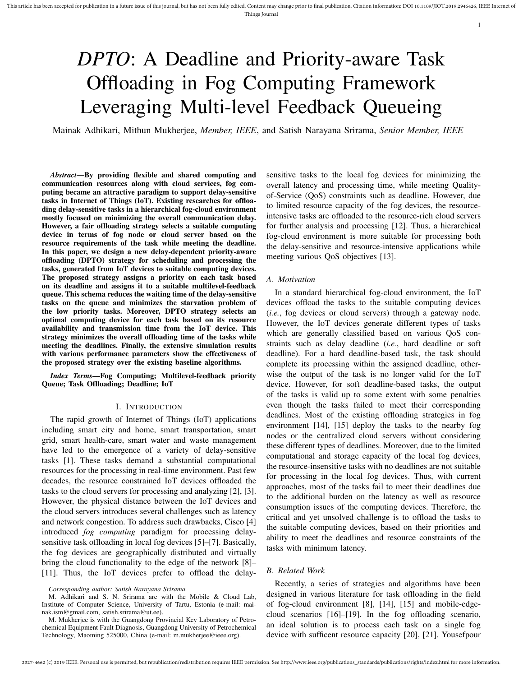# *DPTO*: A Deadline and Priority-aware Task Offloading in Fog Computing Framework Leveraging Multi-level Feedback Queueing

Mainak Adhikari, Mithun Mukherjee, *Member, IEEE*, and Satish Narayana Srirama, *Senior Member, IEEE*

*Abstract*—By providing flexible and shared computing and communication resources along with cloud services, fog computing became an attractive paradigm to support delay-sensitive tasks in Internet of Things (IoT). Existing researches for offloading delay-sensitive tasks in a hierarchical fog-cloud environment mostly focused on minimizing the overall communication delay. However, a fair offloading strategy selects a suitable computing device in terms of fog node or cloud server based on the resource requirements of the task while meeting the deadline. In this paper, we design a new delay-dependent priority-aware offloading (DPTO) strategy for scheduling and processing the tasks, generated from IoT devices to suitable computing devices. The proposed strategy assigns a priority on each task based on its deadline and assigns it to a suitable multilevel-feedback queue. This schema reduces the waiting time of the delay-sensitive tasks on the queue and minimizes the starvation problem of the low priority tasks. Moreover, DPTO strategy selects an optimal computing device for each task based on its resource availability and transmission time from the IoT device. This strategy minimizes the overall offloading time of the tasks while meeting the deadlines. Finally, the extensive simulation results with various performance parameters show the effectiveness of the proposed strategy over the existing baseline algorithms.

*Index Terms*—Fog Computing; Multilevel-feedback priority Queue; Task Offloading; Deadline; IoT

#### I. INTRODUCTION

The rapid growth of Internet of Things (IoT) applications including smart city and home, smart transportation, smart grid, smart health-care, smart water and waste management have led to the emergence of a variety of delay-sensitive tasks [1]. These tasks demand a substantial computational resources for the processing in real-time environment. Past few decades, the resource constrained IoT devices offloaded the tasks to the cloud servers for processing and analyzing [2], [3]. However, the physical distance between the IoT devices and the cloud servers introduces several challenges such as latency and network congestion. To address such drawbacks, Cisco [4] introduced *fog computing* paradigm for processing delaysensitive task offloading in local fog devices [5]–[7]. Basically, the fog devices are geographically distributed and virtually bring the cloud functionality to the edge of the network [8]– [11]. Thus, the IoT devices prefer to offload the delaysensitive tasks to the local fog devices for minimizing the overall latency and processing time, while meeting Qualityof-Service (QoS) constraints such as deadline. However, due to limited resource capacity of the fog devices, the resourceintensive tasks are offloaded to the resource-rich cloud servers for further analysis and processing [12]. Thus, a hierarchical fog-cloud environment is more suitable for processing both the delay-sensitive and resource-intensive applications while meeting various QoS objectives [13].

1

#### *A. Motivation*

In a standard hierarchical fog-cloud environment, the IoT devices offload the tasks to the suitable computing devices (*i.e.*, fog devices or cloud servers) through a gateway node. However, the IoT devices generate different types of tasks which are generally classified based on various QoS constraints such as delay deadline (*i.e.*, hard deadline or soft deadline). For a hard deadline-based task, the task should complete its processing within the assigned deadline, otherwise the output of the task is no longer valid for the IoT device. However, for soft deadline-based tasks, the output of the tasks is valid up to some extent with some penalties even though the tasks failed to meet their corresponding deadlines. Most of the existing offloading strategies in fog environment [14], [15] deploy the tasks to the nearby fog nodes or the centralized cloud servers without considering these different types of deadlines. Moreover, due to the limited computational and storage capacity of the local fog devices, the resource-insensitive tasks with no deadlines are not suitable for processing in the local fog devices. Thus, with current approaches, most of the tasks fail to meet their deadlines due to the additional burden on the latency as well as resource consumption issues of the computing devices. Therefore, the critical and yet unsolved challenge is to offload the tasks to the suitable computing devices, based on their priorities and ability to meet the deadlines and resource constraints of the tasks with minimum latency.

#### *B. Related Work*

Recently, a series of strategies and algorithms have been designed in various literature for task offloading in the field of fog-cloud environment [8], [14], [15] and mobile-edgecloud scenarios [16]–[19]. In the fog offloading scenario, an ideal solution is to process each task on a single fog device with sufficent resource capacity [20], [21]. Yousefpour

*Corresponding author: Satish Narayana Srirama.*

M. Adhikari and S. N. Srirama are with the Mobile & Cloud Lab, Institute of Computer Science, University of Tartu, Estonia (e-mail: mainak.ism@gmail.com, satish.srirama@ut.ee).

M. Mukherjee is with the Guangdong Provincial Key Laboratory of Petrochemical Equipment Fault Diagnosis, Guangdong University of Petrochemical Technology, Maoming 525000, China (e-mail: m.mukherjee@ieee.org).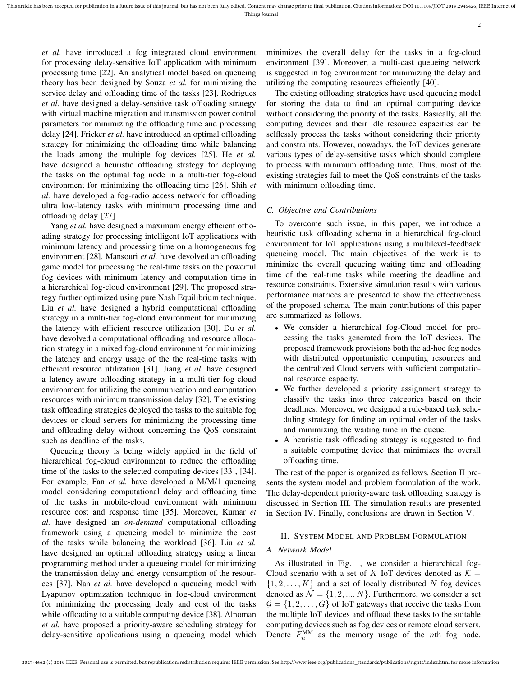*et al.* have introduced a fog integrated cloud environment for processing delay-sensitive IoT application with minimum processing time [22]. An analytical model based on queueing theory has been designed by Souza *et al.* for minimizing the service delay and offloading time of the tasks [23]. Rodrigues *et al.* have designed a delay-sensitive task offloading strategy with virtual machine migration and transmission power control parameters for minimizing the offloading time and processing delay [24]. Fricker *et al.* have introduced an optimal offloading strategy for minimizing the offloading time while balancing the loads among the multiple fog devices [25]. He *et al.* have designed a heuristic offloading strategy for deploying the tasks on the optimal fog node in a multi-tier fog-cloud environment for minimizing the offloading time [26]. Shih *et al.* have developed a fog-radio access network for offloading ultra low-latency tasks with minimum processing time and offloading delay [27].

Yang *et al.* have designed a maximum energy efficient offloading strategy for processing intelligent IoT applications with minimum latency and processing time on a homogeneous fog environment [28]. Mansouri *et al.* have devolved an offloading game model for processing the real-time tasks on the powerful fog devices with minimum latency and computation time in a hierarchical fog-cloud environment [29]. The proposed strategy further optimized using pure Nash Equilibrium technique. Liu *et al.* have designed a hybrid computational offloading strategy in a multi-tier fog-cloud environment for minimizing the latency with efficient resource utilization [30]. Du *et al.* have devolved a computational offloading and resource allocation strategy in a mixed fog-cloud environment for minimizing the latency and energy usage of the the real-time tasks with efficient resource utilization [31]. Jiang *et al.* have designed a latency-aware offloading strategy in a multi-tier fog-cloud environment for utilizing the communication and computation resources with minimum transmission delay [32]. The existing task offloading strategies deployed the tasks to the suitable fog devices or cloud servers for minimizing the processing time and offloading delay without concerning the QoS constraint such as deadline of the tasks.

Queueing theory is being widely applied in the field of hierarchical fog-cloud environment to reduce the offloading time of the tasks to the selected computing devices [33], [34]. For example, Fan *et al.* have developed a M/M/1 queueing model considering computational delay and offloading time of the tasks in mobile-cloud environment with minimum resource cost and response time [35]. Moreover, Kumar *et al.* have designed an *on-demand* computational offloading framework using a queueing model to minimize the cost of the tasks while balancing the workload [36]. Liu *et al.* have designed an optimal offloading strategy using a linear programming method under a queueing model for minimizing the transmission delay and energy consumption of the resources [37]. Nan *et al.* have developed a queueing model with Lyapunov optimization technique in fog-cloud environment for minimizing the processing dealy and cost of the tasks while offloading to a suitable computing device [38]. Alnoman *et al.* have proposed a priority-aware scheduling strategy for delay-sensitive applications using a queueing model which

minimizes the overall delay for the tasks in a fog-cloud environment [39]. Moreover, a multi-cast queueing network is suggested in fog environment for minimizing the delay and utilizing the computing resources efficiently [40].

The existing offloading strategies have used queueing model for storing the data to find an optimal computing device without considering the priority of the tasks. Basically, all the computing devices and their idle resource capacities can be selflessly process the tasks without considering their priority and constraints. However, nowadays, the IoT devices generate various types of delay-sensitive tasks which should complete to process with minimum offloading time. Thus, most of the existing strategies fail to meet the QoS constraints of the tasks with minimum offloading time.

# *C. Objective and Contributions*

To overcome such issue, in this paper, we introduce a heuristic task offloading schema in a hierarchical fog-cloud environment for IoT applications using a multilevel-feedback queueing model. The main objectives of the work is to minimize the overall queueing waiting time and offloading time of the real-time tasks while meeting the deadline and resource constraints. Extensive simulation results with various performance matrices are presented to show the effectiveness of the proposed schema. The main contributions of this paper are summarized as follows.

- We consider a hierarchical fog-Cloud model for processing the tasks generated from the IoT devices. The proposed framework provisions both the ad-hoc fog nodes with distributed opportunistic computing resources and the centralized Cloud servers with sufficient computational resource capacity.
- We further developed a priority assignment strategy to classify the tasks into three categories based on their deadlines. Moreover, we designed a rule-based task scheduling strategy for finding an optimal order of the tasks and minimizing the waiting time in the queue.
- A heuristic task offloading strategy is suggested to find a suitable computing device that minimizes the overall offloading time.

The rest of the paper is organized as follows. Section II presents the system model and problem formulation of the work. The delay-dependent priority-aware task offloading strategy is discussed in Section III. The simulation results are presented in Section IV. Finally, conclusions are drawn in Section V.

# II. SYSTEM MODEL AND PROBLEM FORMULATION

# *A. Network Model*

As illustrated in Fig. 1, we consider a hierarchical fog-Cloud scenario with a set of K IoT devices denoted as  $K =$  $\{1, 2, \ldots, K\}$  and a set of locally distributed N fog devices denoted as  $\mathcal{N} = \{1, 2, ..., N\}$ . Furthermore, we consider a set  $G = \{1, 2, \ldots, G\}$  of IoT gateways that receive the tasks from the multiple IoT devices and offload these tasks to the suitable computing devices such as fog devices or remote cloud servers. Denote  $F_n^{\text{MM}}$  as the memory usage of the *n*th fog node.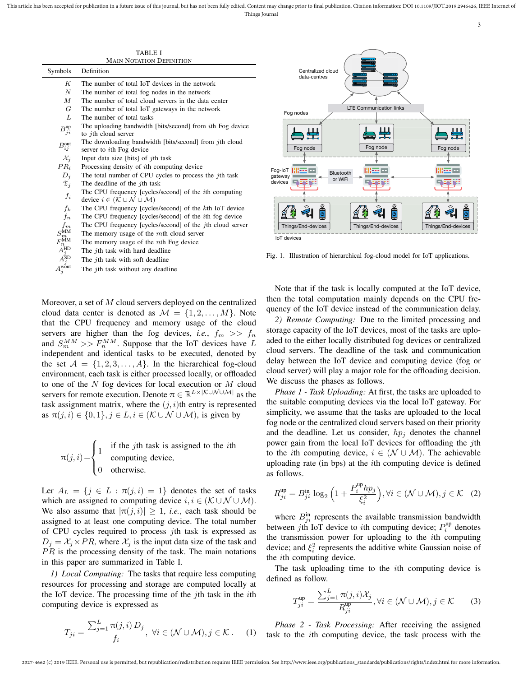TABLE I MAIN NOTATION DEFINITION

| Symbols                                | Definition                                                                                 |
|----------------------------------------|--------------------------------------------------------------------------------------------|
| K                                      | The number of total IoT devices in the network                                             |
| $\boldsymbol{N}$                       | The number of total fog nodes in the network                                               |
| $\overline{M}$                         | The number of total cloud servers in the data center                                       |
| G                                      | The number of total IoT gateways in the network                                            |
| L                                      | The number of total tasks                                                                  |
| $B_{ji}^{up}$                          | The uploading bandwidth [bits/second] from <i>i</i> th Fog device                          |
|                                        | to <i>j</i> th cloud server                                                                |
| $B_{ij}^{\text{out}}$                  | The downloading bandwidth [bits/second] from jth cloud<br>server to <i>i</i> th Fog device |
| $\mathcal{X}_i$                        | Input data size [bits] of $j$ th task                                                      |
| $PR_i$                                 | Processing density of <i>i</i> th computing device                                         |
| $D_j$                                  | The total number of CPU cycles to process the <i>j</i> th task                             |
| $\mathfrak{T}_i$                       | The deadline of the $j$ th task                                                            |
| $f_i$                                  | The CPU frequency [cycles/second] of the <i>i</i> th computing                             |
|                                        | device $i \in (\mathcal{K} \cup \mathcal{N} \cup \mathcal{M})$                             |
| $f_k$                                  | The CPU frequency [cycles/second] of the kth IoT device                                    |
| $f_n$                                  | The CPU frequency [cycles/second] of the <i>i</i> th fog device                            |
| $f_m$                                  | The CPU frequency [cycles/second] of the <i>j</i> th cloud server                          |
| $S_m^{\mathrm{MM}}$                    | The memory usage of the $m$ th cloud server                                                |
| $F_n^{\rm MM}$                         | The memory usage of the <i>n</i> th Fog device                                             |
| $\tilde{A}_{\substack{j\\A\text{SD}}}$ | The <i>j</i> th task with hard deadline                                                    |
|                                        | The <i>j</i> th task with soft deadline                                                    |
| $A_j^{\rm wout}$                       | The <i>j</i> th task without any deadline                                                  |

Moreover, a set of M cloud servers deployed on the centralized cloud data center is denoted as  $\mathcal{M} = \{1, 2, ..., M\}$ . Note that the CPU frequency and memory usage of the cloud servers are higher than the fog devices, *i.e.*,  $f_m \gg f_n$ and  $S_m^{MM} >> F_n^{MM}$ . Suppose that the IoT devices have L independent and identical tasks to be executed, denoted by the set  $A = \{1, 2, 3, \ldots, A\}$ . In the hierarchical fog-cloud environment, each task is either processed locally, or offloaded to one of the  $N$  fog devices for local execution or  $M$  cloud servers for remote execution. Denote  $\pi \in \mathbb{R}^{L \times |\mathcal{K} \cup \mathcal{N} \cup \mathcal{M}|}$  as the task assignment matrix, where the  $(j, i)$ th entry is represented as  $\pi(j, i) \in \{0, 1\}, j \in L, i \in (K \cup \mathcal{N} \cup \mathcal{M})$ , is given by

$$
\pi(j, i) = \begin{cases}\n1 & \text{if the } j\text{th task is assigned to the } i\text{th} \\
0 & \text{otherwise.} \n\end{cases}
$$

Ler  $A_L = \{j \in L : \pi(j, i) = 1\}$  denotes the set of tasks which are assigned to computing device  $i, i \in (\mathcal{K} \cup \mathcal{N} \cup \mathcal{M})$ . We also assume that  $|\pi(j, i)| \geq 1$ , *i.e.*, each task should be assigned to at least one computing device. The total number of CPU cycles required to process jth task is expressed as  $D_j = \mathcal{X}_j \times PR$ , where  $\mathcal{X}_j$  is the input data size of the task and  $PR$  is the processing density of the task. The main notations in this paper are summarized in Table I.

*1) Local Computing:* The tasks that require less computing resources for processing and storage are computed locally at the IoT device. The processing time of the jth task in the *i*th computing device is expressed as

$$
T_{ji} = \frac{\sum_{j=1}^{L} \pi(j,i) D_j}{f_i}, \ \forall i \in (\mathcal{N} \cup \mathcal{M}), j \in \mathcal{K}.
$$
 (1)



Fig. 1. Illustration of hierarchical fog-cloud model for IoT applications.

Note that if the task is locally computed at the IoT device, then the total computation mainly depends on the CPU frequency of the IoT device instead of the communication delay.

*2) Remote Computing:* Due to the limited processing and storage capacity of the IoT devices, most of the tasks are uploaded to the either locally distributed fog devices or centralized cloud servers. The deadline of the task and communication delay between the IoT device and computing device (fog or cloud server) will play a major role for the offloading decision. We discuss the phases as follows.

*Phase 1 - Task Uploading:* At first, the tasks are uploaded to the suitable computing devices via the local IoT gateway. For simplicity, we assume that the tasks are uploaded to the local fog node or the centralized cloud servers based on their priority and the deadline. Let us consider,  $hp_i$  denotes the channel power gain from the local IoT devices for offloading the jth to the *i*th computing device,  $i \in (\mathcal{N} \cup \mathcal{M})$ . The achievable uploading rate (in bps) at the ith computing device is defined as follows.

$$
R_{ji}^{\text{up}} = B_{ji}^{\text{in}} \log_2 \left( 1 + \frac{P_i^{\text{up}} h p_j}{\xi_i^2} \right), \forall i \in (\mathcal{N} \cup \mathcal{M}), j \in \mathcal{K} \quad (2)
$$

where  $B_{ji}^{in}$  represents the available transmission bandwidth between jth IoT device to *i*th computing device;  $P_i^{\text{up}}$  denotes the transmission power for uploading to the ith computing device; and  $\xi_i^2$  represents the additive white Gaussian noise of the ith computing device.

The task uploading time to the ith computing device is defined as follow.

$$
T_{ji}^{\text{up}} = \frac{\sum_{j=1}^{L} \pi(j, i) \mathcal{X}_j}{R_{ji}^{\text{up}}}, \forall i \in (\mathcal{N} \cup \mathcal{M}), j \in \mathcal{K}
$$
 (3)

*Phase 2 - Task Processing:* After receiving the assigned task to the ith computing device, the task process with the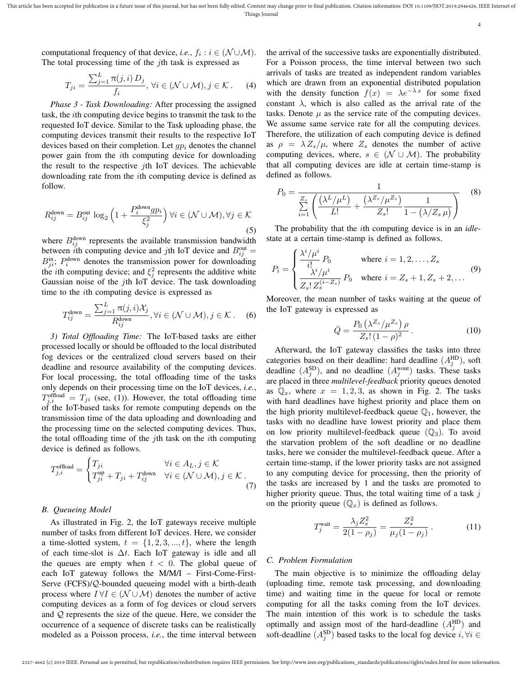4

computational frequency of that device, *i.e.*,  $f_i : i \in (\mathcal{N} \cup \mathcal{M})$ . The total processing time of the *j*th task is expressed as

$$
T_{ji} = \frac{\sum_{j=1}^{L} \pi(j,i) D_j}{f_i}, \forall i \in (\mathcal{N} \cup \mathcal{M}), j \in \mathcal{K}.
$$
 (4)

*Phase 3 - Task Downloading:* After processing the assigned task, the ith computing device begins to transmit the task to the requested IoT device. Similar to the Task uploading phase, the computing devices transmit their results to the respective IoT devices based on their completion. Let  $gp_i$  denotes the channel power gain from the ith computing device for downloading the result to the respective  $i$ th IoT devices. The achievable downloading rate from the ith computing device is defined as follow.

$$
R_{ij}^{\text{down}} = B_{ij}^{\text{out}} \log_2 \left( 1 + \frac{P_i^{\text{down}} g p_i}{\xi_j^2} \right) \forall i \in (\mathcal{N} \cup \mathcal{M}), \forall j \in \mathcal{K}
$$
\n(5)

where  $B_{ij}^{\text{down}}$  represents the available transmission bandwidth between *i*th computing device and *j*th IoT device and  $B_{ij}^{\text{out}} =$  $B_{ji}^{\text{in}}$ ;  $P_i^{\text{down}}$  denotes the transmission power for downloading the *i*th computing device; and  $\xi_j^2$  represents the additive white Gaussian noise of the jth IoT device. The task downloading time to the ith computing device is expressed as

$$
T_{ij}^{\text{down}} = \frac{\sum_{j=1}^{L} \pi(j, i) \mathcal{X}_j}{R_{ij}^{\text{down}}}, \forall i \in (\mathcal{N} \cup \mathcal{M}), j \in \mathcal{K}. \quad (6)
$$

*3) Total Offloading Time:* The IoT-based tasks are either processed locally or should be offloaded to the local distributed fog devices or the centralized cloud servers based on their deadline and resource availability of the computing devices. For local processing, the total offloading time of the tasks only depends on their processing time on the IoT devices, *i.e.*,  $T_{j,i}^{\text{offload}} = T_{ji}$  (see, (1)). However, the total offloading time of the IoT-based tasks for remote computing depends on the transmission time of the data uploading and downloading and the processing time on the selected computing devices. Thus, the total offloading time of the  $j$ th task on the  $i$ th computing device is defined as follows.

$$
T_{j,i}^{\text{offload}} = \begin{cases} T_{ji} & \forall i \in A_L, j \in \mathcal{K} \\ T_{ji}^{\text{up}} + T_{ji} + T_{ij}^{\text{down}} & \forall i \in (\mathcal{N} \cup \mathcal{M}), j \in \mathcal{K} \,. \end{cases}
$$
(7)

## *B. Queueing Model*

As illustrated in Fig. 2, the IoT gateways receive multiple number of tasks from different IoT devices. Here, we consider a time-slotted system,  $t = \{1, 2, 3, ..., t\}$ , where the length of each time-slot is  $\Delta t$ . Each IoT gateway is idle and all the queues are empty when  $t < 0$ . The global queue of each IoT gateway follows the M/M/I – First-Come-First-Serve (FCFS)/Q-bounded queueing model with a birth-death process where  $I \forall I \in (\mathcal{N} \cup \mathcal{M})$  denotes the number of active computing devices as a form of fog devices or cloud servers and Q represents the size of the queue. Here, we consider the occurrence of a sequence of discrete tasks can be realistically modeled as a Poisson process, *i.e.*, the time interval between the arrival of the successive tasks are exponentially distributed. For a Poisson process, the time interval between two such arrivals of tasks are treated as independent random variables which are drawn from an exponential distributed population with the density function  $f(x) = \lambda e^{-\lambda x}$  for some fixed constant  $\lambda$ , which is also called as the arrival rate of the tasks. Denote  $\mu$  as the service rate of the computing devices. We assume same service rate for all the computing devices. Therefore, the utilization of each computing device is defined as  $\rho = \lambda Z_s/\mu$ , where  $Z_s$  denotes the number of active computing devices, where,  $s \in (\mathcal{N} \cup \mathcal{M})$ . The probability that all computing devices are idle at certain time-stamp is defined as follows.

$$
P_0 = \frac{1}{\sum_{i=1}^{Z_s} \left( \frac{(\lambda^L / \mu^L)}{L!} + \frac{(\lambda^{Z_s} / \mu^{Z_s})}{Z_s!} \frac{1}{1 - (\lambda / Z_s \mu)} \right)}
$$
(8)

The probability that the ith computing device is in an *idle*state at a certain time-stamp is defined as follows.

$$
P_i = \begin{cases} \frac{\lambda^i / \mu^i}{i!} P_0 & \text{where } i = 1, 2, \dots, Z_s \\ \frac{\lambda^i / \mu^i}{Z_s! \ Z_s^{(i-Z_s)}} P_0 & \text{where } i = Z_s + 1, Z_s + 2, \dots \end{cases}
$$
(9)

Moreover, the mean number of tasks waiting at the queue of the IoT gateway is expressed as

$$
\bar{Q} = \frac{P_0 \left( \lambda^{Z_s} / \mu^{Z_s} \right) \rho}{Z_s! (1 - \rho)^2} \,. \tag{10}
$$

Afterward, the IoT gateway classifies the tasks into three categories based on their deadline: hard deadline  $(A_j^{\text{HD}})$ , soft deadline  $(A_j^{\text{SD}})$ , and no deadline  $(A_j^{\text{wout}})$  tasks. These tasks are placed in three *multilevel-feedback* priority queues denoted as  $\mathbb{Q}_x$ , where  $x = 1, 2, 3$ , as shown in Fig. 2. The tasks with hard deadlines have highest priority and place them on the high priority multilevel-feedback queue  $\mathbb{Q}_1$ , however, the tasks with no deadline have lowest priority and place them on low priority multilevel-feedback queue  $(\mathbb{Q}_3)$ . To avoid the starvation problem of the soft deadline or no deadline tasks, here we consider the multilevel-feedback queue. After a certain time-stamp, if the lower priority tasks are not assigned to any computing device for processing, then the priority of the tasks are increased by 1 and the tasks are promoted to higher priority queue. Thus, the total waiting time of a task  $j$ on the priority queue  $(\mathbb{Q}_x)$  is defined as follows.

$$
T_j^{\text{wait}} = \frac{\lambda_j Z_s^2}{2(1 - \rho_j)} = \frac{Z_s^2}{\mu_j (1 - \rho_j)}.
$$
 (11)

## *C. Problem Formulation*

The main objective is to minimize the offloading delay (uploading time, remote task processing, and downloading time) and waiting time in the queue for local or remote computing for all the tasks coming from the IoT devices. The main intention of this work is to schedule the tasks optimally and assign most of the hard-deadline  $(A_j^{\text{HD}})$  and soft-deadline  $(A_j^{\text{SD}})$  based tasks to the local fog device  $i, \forall i \in$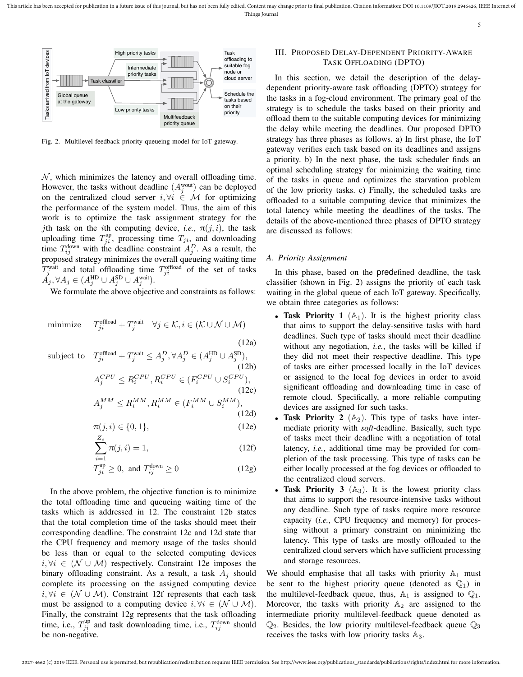

Fig. 2. Multilevel-feedback priority queueing model for IoT gateway.

 $N$ , which minimizes the latency and overall offloading time. However, the tasks without deadline  $(A_j^{\text{wout}})$  can be deployed on the centralized cloud server  $i, \forall i \in \mathcal{M}$  for optimizing the performance of the system model. Thus, the aim of this work is to optimize the task assignment strategy for the jth task on the *i*th computing device, *i.e.*,  $\pi(j, i)$ , the task uploading time  $T_{ji}^{\text{up}}$ , processing time  $T_{ji}$ , and downloading time  $T_{ij}^{\text{down}}$  with the deadline constraint  $A_j^D$ . As a result, the proposed strategy minimizes the overall queueing waiting time  $T_j^{\text{wait}}$  and total offloading time  $T_{ji}^{\text{offload}}$  of the set of tasks  $\check{A_j}, \forall A_j \in (A_j^{\text{HD}} \cup A_j^{\text{SD}} \cup A_j^{\text{wait}}).$ 

We formulate the above objective and constraints as follows:

minimize 
$$
T_{ji}^{\text{offload}} + T_j^{\text{wait}} \quad \forall j \in \mathcal{K}, i \in (\mathcal{K} \cup \mathcal{N} \cup \mathcal{M})
$$
  
(12a)

subject to 
$$
T_{ji}^{\text{offload}} + T_j^{\text{wait}} \leq A_j^D, \forall A_j^D \in (A_j^{\text{HD}} \cup A_j^{\text{SD}}),
$$
(12b)  

$$
A_j^{CPU} \leq R_i^{CPU}, R_i^{CPU} \in (F_i^{CPU} \cup S_i^{CPU}),
$$
(12c)  

$$
A_j^{MM} \leq R_i^{MM}, R_i^{MM} \in (F_i^{MM} \cup S_i^{MM}),
$$
(12d)

$$
\pi(j,i) \in \{0,1\},\tag{12e}
$$

$$
\sum_{i=1}^{Z_s} \pi(j, i) = 1,\tag{12f}
$$

$$
T_{ji}^{\text{up}} \ge 0, \text{ and } T_{ij}^{\text{down}} \ge 0 \tag{12g}
$$

In the above problem, the objective function is to minimize the total offloading time and queueing waiting time of the tasks which is addressed in 12. The constraint 12b states that the total completion time of the tasks should meet their corresponding deadline. The constraint 12c and 12d state that the CPU frequency and memory usage of the tasks should be less than or equal to the selected computing devices i,  $\forall i \in (\mathcal{N} \cup \mathcal{M})$  respectively. Constraint 12e imposes the binary offloading constraint. As a result, a task  $A_j$  should complete its processing on the assigned computing device  $i, \forall i \in (\mathcal{N} \cup \mathcal{M})$ . Constraint 12f represents that each task must be assigned to a computing device  $i, \forall i \in (\mathcal{N} \cup \mathcal{M})$ . Finally, the constraint 12g represents that the task offloading time, i.e.,  $T_{ji}^{\text{up}}$  and task downloading time, i.e.,  $T_{ij}^{\text{down}}$  should be non-negative.

# III. PROPOSED DELAY-DEPENDENT PRIORITY-AWARE TASK OFFLOADING (DPTO)

In this section, we detail the description of the delaydependent priority-aware task offloading (DPTO) strategy for the tasks in a fog-cloud environment. The primary goal of the strategy is to schedule the tasks based on their priority and offload them to the suitable computing devices for minimizing the delay while meeting the deadlines. Our proposed DPTO strategy has three phases as follows. a) In first phase, the IoT gateway verifies each task based on its deadlines and assigns a priority. b) In the next phase, the task scheduler finds an optimal scheduling strategy for minimizing the waiting time of the tasks in queue and optimizes the starvation problem of the low priority tasks. c) Finally, the scheduled tasks are offloaded to a suitable computing device that minimizes the total latency while meeting the deadlines of the tasks. The details of the above-mentioned three phases of DPTO strategy are discussed as follows:

## *A. Priority Assignment*

In this phase, based on the predefined deadline, the task classifier (shown in Fig. 2) assigns the priority of each task waiting in the global queue of each IoT gateway. Specifically, we obtain three categories as follows:

- Task Priority 1  $(A_1)$ . It is the highest priority class that aims to support the delay-sensitive tasks with hard deadlines. Such type of tasks should meet their deadline without any negotiation, *i.e.*, the tasks will be killed if they did not meet their respective deadline. This type of tasks are either processed locally in the IoT devices or assigned to the local fog devices in order to avoid significant offloading and downloading time in case of remote cloud. Specifically, a more reliable computing devices are assigned for such tasks.
- **Task Priority 2**  $(A_2)$ . This type of tasks have intermediate priority with *soft*-deadline. Basically, such type of tasks meet their deadline with a negotiation of total latency, *i.e.*, additional time may be provided for completion of the task processing. This type of tasks can be either locally processed at the fog devices or offloaded to the centralized cloud servers.
- Task Priority 3  $(A_3)$ . It is the lowest priority class that aims to support the resource-intensive tasks without any deadline. Such type of tasks require more resource capacity (*i.e.*, CPU frequency and memory) for processing without a primary constraint on minimizing the latency. This type of tasks are mostly offloaded to the centralized cloud servers which have sufficient processing and storage resources.

We should emphasise that all tasks with priority  $A_1$  must be sent to the highest priority queue (denoted as  $\mathbb{Q}_1$ ) in the multilevel-feedback queue, thus,  $A_1$  is assigned to  $\mathbb{Q}_1$ . Moreover, the tasks with priority  $\mathbb{A}_2$  are assigned to the intermediate priority multilevel-feedback queue denoted as  $\mathbb{Q}_2$ . Besides, the low priority multilevel-feedback queue  $\mathbb{Q}_3$ receives the tasks with low priority tasks  $A_3$ .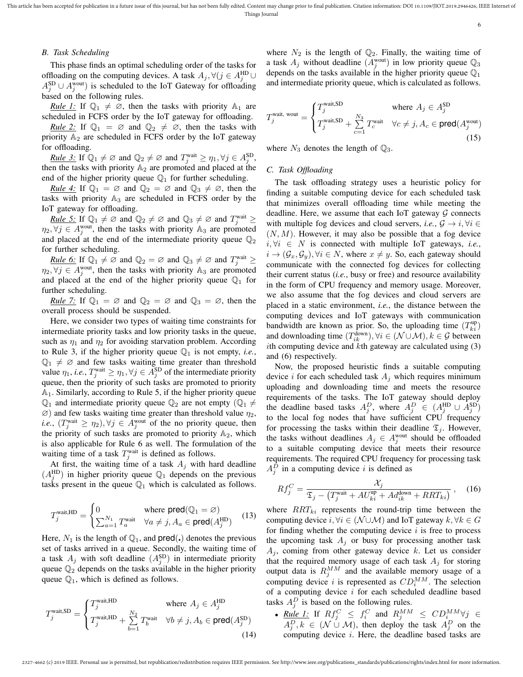This article has been accepted for publication in a future issue of this journal, but has not been fully edited. Content may change prior to final publication. Citation information: DOI 10.1109/JIOT.2019.2946426, IEEE Inte Things Journal

6

## *B. Task Scheduling*

This phase finds an optimal scheduling order of the tasks for offloading on the computing devices. A task  $A_j$ ,  $\forall (j \in A_j^{\text{HD}} \cup \mathbb{R})$  $A_j^{\text{SD}} \cup A_j^{\text{wout}}$ ) is scheduled to the IoT Gateway for offloading based on the following rules.

*Rule 1:* If  $\mathbb{Q}_1 \neq \emptyset$ , then the tasks with priority  $\mathbb{A}_1$  are scheduled in FCFS order by the IoT gateway for offloading.

*Rule 2:* If  $\mathbb{Q}_1 = \emptyset$  and  $\mathbb{Q}_2 \neq \emptyset$ , then the tasks with priority  $A_2$  are scheduled in FCFS order by the IoT gateway for offloading.

*Rule 3:* If  $\mathbb{Q}_1 \neq \emptyset$  and  $\mathbb{Q}_2 \neq \emptyset$  and  $T_j^{\text{wait}} \geq \eta_1, \forall j \in A_j^{\text{SD}}$ , then the tasks with priority  $A_2$  are promoted and placed at the end of the higher priority queue  $\mathbb{Q}_1$  for further scheduling.

*Rule 4:* If  $\mathbb{Q}_1 = \emptyset$  and  $\mathbb{Q}_2 = \emptyset$  and  $\mathbb{Q}_3 \neq \emptyset$ , then the tasks with priority  $A_3$  are scheduled in FCFS order by the IoT gateway for offloading.

*Rule 5:* If  $\mathbb{Q}_1 \neq \emptyset$  and  $\mathbb{Q}_2 \neq \emptyset$  and  $\mathbb{Q}_3 \neq \emptyset$  and  $T_j^{\text{wait}} \geq$  $\eta_2, \forall j \in A_j^{\text{wout}}$ , then the tasks with priority  $\mathbb{A}_3$  are promoted and placed at the end of the intermediate priority queue  $\mathbb{Q}_2$ for further scheduling.

*Rule 6:* If  $\mathbb{Q}_1 \neq \emptyset$  and  $\mathbb{Q}_2 = \emptyset$  and  $\mathbb{Q}_3 \neq \emptyset$  and  $T_j^{\text{wait}} \geq$  $\eta_2, \forall j \in A_j^{\text{wout}}$ , then the tasks with priority  $\mathbb{A}_3$  are promoted and placed at the end of the higher priority queue  $\mathbb{Q}_1$  for further scheduling.

*Rule 7:* If  $\mathbb{Q}_1 = \emptyset$  and  $\mathbb{Q}_2 = \emptyset$  and  $\mathbb{Q}_3 = \emptyset$ , then the overall process should be suspended.

Here, we consider two types of waiting time constraints for intermediate priority tasks and low priority tasks in the queue, such as  $\eta_1$  and  $\eta_2$  for avoiding starvation problem. According to Rule 3, if the higher priority queue  $\mathbb{Q}_1$  is not empty, *i.e.*,  $\mathbb{Q}_1 \neq \emptyset$  and few tasks waiting time greater than threshold value  $\eta_1$ , *i.e.*,  $T_j^{\text{wait}} \geq \eta_1$ ,  $\forall j \in A_j^{\text{SD}}$  of the intermediate priority queue, then the priority of such tasks are promoted to priority  $A_1$ . Similarly, according to Rule 5, if the higher priority queue  $\mathbb{Q}_1$  and intermediate priority queue  $\mathbb{Q}_2$  are not empty  $(\mathbb{Q}_1 \neq \mathbb{Q}_2)$  $\varnothing$ ) and few tasks waiting time greater than threshold value  $\eta_2$ , *i.e.*,  $(T_j^{\text{wait}} \geq \eta_2), \forall j \in A_j^{\text{wait}}$  of the no priority queue, then the priority of such tasks are promoted to priority  $A_2$ , which is also applicable for Rule 6 as well. The formulation of the waiting time of a task  $T_j^{\text{wait}}$  is defined as follows.

At first, the waiting time of a task  $A_i$  with hard deadline  $(A_j^{\text{HD}})$  in higher priority queue  $\mathbb{Q}_1$  depends on the previous tasks present in the queue  $\mathbb{Q}_1$  which is calculated as follows.

$$
T_j^{\text{wait,HD}} = \begin{cases} 0 & \text{where } \text{pred}(\mathbb{Q}_1 = \varnothing) \\ \sum_{a=1}^{N_1} T_a^{\text{wait}} & \forall a \neq j, A_a \in \text{pred}(A_j^{\text{HD}}) \end{cases} \tag{13}
$$

Here,  $N_1$  is the length of  $\mathbb{Q}_1$ , and pred(.) denotes the previous set of tasks arrived in a queue. Secondly, the waiting time of a task  $A_j$  with soft deadline  $(A_j^{\text{SD}})$  in intermediate priority queue  $\mathbb{Q}_2$  depends on the tasks available in the higher priority queue  $\mathbb{Q}_1$ , which is defined as follows.

$$
T_j^{\text{wait,SD}} = \begin{cases} T_j^{\text{wait,HD}} & \text{where } A_j \in A_j^{\text{HD}}\\ T_j^{\text{wait,HD}} + \sum_{b=1}^{N_2} T_b^{\text{wait}} & \forall b \neq j, A_b \in \text{pred}(A_j^{\text{SD}})\\ \end{cases} \tag{14}
$$

where  $N_2$  is the length of  $\mathbb{Q}_2$ . Finally, the waiting time of a task  $A_j$  without deadline  $(A_j^{\text{wout}})$  in low priority queue  $\mathbb{Q}_3$ depends on the tasks available in the higher priority queue  $\mathbb{Q}_1$ and intermediate priority queue, which is calculated as follows.

$$
T_j^{\text{wait, wout}} = \begin{cases} T_j^{\text{wait, SD}} & \text{where } A_j \in A_j^{\text{SD}} \\ T_j^{\text{wait, SD}} + \sum_{c=1}^{N_3} T_c^{\text{wait}} & \forall c \neq j, A_c \in \text{pred}(A_j^{\text{wout}}) \\ \end{cases} \tag{15}
$$

where  $N_3$  denotes the length of  $\mathbb{Q}_3$ .

## *C. Task Offloading*

The task offloading strategy uses a heuristic policy for finding a suitable computing device for each scheduled task that minimizes overall offloading time while meeting the deadline. Here, we assume that each IoT gateway  $G$  connects with multiple fog devices and cloud servers, *i.e.*,  $\mathcal{G} \rightarrow i$ ,  $\forall i \in$  $(N, M)$ . However, it may also be possible that a fog device  $i, \forall i \in N$  is connected with multiple IoT gateways, *i.e.*,  $i \rightarrow (\mathcal{G}_x, \mathcal{G}_y), \forall i \in \mathbb{N}$ , where  $x \neq y$ . So, each gateway should communicate with the connected fog devices for collecting their current status (*i.e.*, busy or free) and resource availability in the form of CPU frequency and memory usage. Moreover, we also assume that the fog devices and cloud servers are placed in a static environment, *i.e.*, the distance between the computing devices and IoT gateways with communication bandwidth are known as prior. So, the uploading time  $(T_{ki}^{up})$ and downloading time  $(T_{ik}^{down})$ ,  $\forall i \in (\mathcal{N} \cup \mathcal{M})$ ,  $k \in \mathcal{G}$  between ith computing device and  $k$ th gateway are calculated using  $(3)$ and (6) respectively.

Now, the proposed heuristic finds a suitable computing device i for each scheduled task  $A_i$  which requires minimum uploading and downloading time and meets the resource requirements of the tasks. The IoT gateway should deploy the deadline based tasks  $A_j^D$ , where  $A_j^D \in (A_j^{HD} \cup A_j^{SD})$ to the local fog nodes that have sufficient CPU frequency for processing the tasks within their deadline  $\mathfrak{T}_j$ . However, the tasks without deadlines  $A_j \in A_j^{\text{wout}}$  should be offloaded to a suitable computing device that meets their resource requirements. The required CPU frequency for processing task  $A_j^D$  in a computing device i is defined as

$$
Rf_j^C = \frac{\mathcal{X}_j}{\mathfrak{T}_j - \left(T_j^{\text{wait}} + AU_{ki}^{\text{up}} + Ad_{ik}^{\text{down}} + RRT_{ki}\right)}\,,\quad(16)
$$

where  $RRT_{ki}$  represents the round-trip time between the computing device  $i, \forall i \in (\mathcal{N} \cup \mathcal{M})$  and IoT gateway  $k, \forall k \in G$ for finding whether the computing device  $i$  is free to process the upcoming task  $A_i$  or busy for processing another task  $A_i$ , coming from other gateway device k. Let us consider that the required memory usage of each task  $A_i$  for storing output data is  $R_j^{MM}$  and the available memory usage of a computing device i is represented as  $CD_i^{MM}$ . The selection of a computing device  $i$  for each scheduled deadline based tasks  $A_j^D$  is based on the following rules.

• <u>Rule 1:</u> If  $Rf_j^C \leq f_i^C$  and  $R_j^{MM} \leq CD_i^{MM} \forall j \in$  $A_j^D, k \in (\mathcal{N} \cup \mathcal{M})$ , then deploy the task  $A_j^D$  on the computing device i. Here, the deadline based tasks are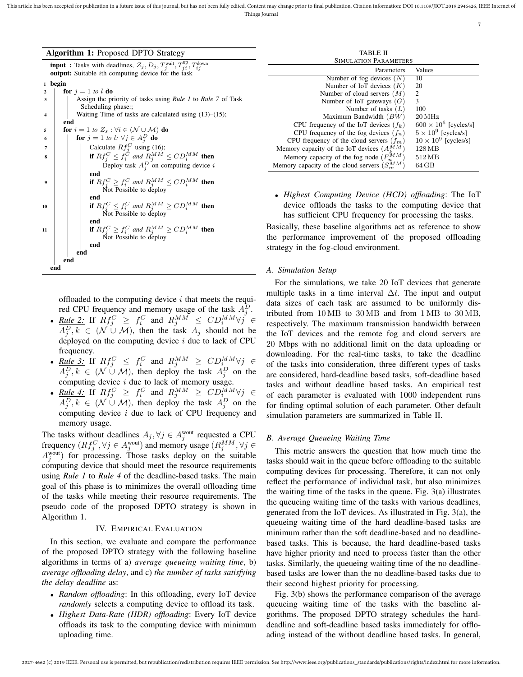| Algorithm 1: Proposed DPTO Strategy |  |  |  |  |  |  |  |
|-------------------------------------|--|--|--|--|--|--|--|
|-------------------------------------|--|--|--|--|--|--|--|

**input**: Tasks with deadlines,  $Z_j$ ,  $D_j$ ,  $T_j^{\text{wait}}, T_{j}^{\text{up}}, T_{ij}^{\text{down}}$ output: Suitable *i*th computing device for the task

<sup>1</sup> begin

| $\overline{\mathbf{2}}$ | for $j = 1$ to l do                                                       |  |
|-------------------------|---------------------------------------------------------------------------|--|
| 3                       | Assign the priority of tasks using <i>Rule 1</i> to <i>Rule</i> 7 of Task |  |
|                         | Scheduling phase:;                                                        |  |
| $\boldsymbol{4}$        | Waiting Time of tasks are calculated using $(13)$ – $(15)$ ;              |  |
|                         | end                                                                       |  |
| 5                       | for $i = 1$ to $Z_s : \forall i \in (\mathcal{N} \cup \mathcal{M})$ do    |  |
| 6                       | for $j = 1$ to $l: \forall j \in A_i^D$ do                                |  |
| 7                       | Calculate $Rf_i^C$ using (16);                                            |  |
| 8                       | if $Rf_i^C \leq f_i^C$ and $R_i^{MM} \leq CD_i^{MM}$ then                 |  |
|                         | Deploy task $A_i^D$ on computing device i                                 |  |
|                         | end                                                                       |  |
| 9                       | if $Rf_i^C \geq f_i^C$ and $R_i^{MM} \leq CD_i^{MM}$ then                 |  |
|                         | Not Possible to deploy                                                    |  |
|                         | end                                                                       |  |
| 10                      | if $Rf_i^C \leq f_i^C$ and $R_i^{MM} \geq CD_i^{MM}$ then                 |  |
|                         | Not Possible to deploy                                                    |  |
|                         | end                                                                       |  |
| 11                      | if $Rf_i^C \geq f_i^C$ and $R_i^{MM} \geq CD_i^{MM}$ then                 |  |
|                         | Not Possible to deploy                                                    |  |
|                         | end                                                                       |  |
|                         | end                                                                       |  |
|                         | end                                                                       |  |
| end                     |                                                                           |  |
|                         |                                                                           |  |

offloaded to the computing device  $i$  that meets the required CPU frequency and memory usage of the task  $A_j^D$ .

- <u>Rule 2:</u> If  $Rf_j^C \geq f_i^C$  and  $R_j^{MM} \leq CD_i^{MM} \forall j \in$  $A_j^D, k \in (\mathcal{N} \cup \mathcal{M})$ , then the task  $A_j$  should not be deployed on the computing device  $i$  due to lack of CPU frequency.
- <u>Rule 3:</u> If  $Rf_j^C \leq f_i^C$  and  $R_j^{MM} \geq CD_i^{MM} \forall j \in$  $A_j^D, k \in (\mathcal{N} \cup \mathcal{M})$ , then deploy the task  $A_j^D$  on the computing device  $i$  due to lack of memory usage.
- <u>Rule 4:</u> If  $Rf_j^C \geq f_i^C$  and  $R_j^{MM} \geq CD_i^{MM} \forall j \in$  $A_j^D, k \in (\mathcal{N} \cup \mathcal{M})$ , then deploy the task  $A_j^D$  on the computing device i due to lack of CPU frequency and memory usage.

The tasks without deadlines  $A_j, \forall j \in A_j^{\text{wout}}$  requested a CPU frequency  $(Rf_j^C, \forall j \in A_j^{\text{wout}})$  and memory usage  $(R_j^{MM}, \forall j \in A_j^{\text{wout}})$  $A_j^{\text{wout}}$ ) for processing. Those tasks deploy on the suitable computing device that should meet the resource requirements using *Rule 1* to *Rule 4* of the deadline-based tasks. The main goal of this phase is to minimizes the overall offloading time of the tasks while meeting their resource requirements. The pseudo code of the proposed DPTO strategy is shown in Algorithm 1.

### IV. EMPIRICAL EVALUATION

In this section, we evaluate and compare the performance of the proposed DPTO strategy with the following baseline algorithms in terms of a) *average queueing waiting time*, b) *average offloading delay*, and c) *the number of tasks satisfying the delay deadline* as:

- *Random offloading*: In this offloading, every IoT device *randomly* selects a computing device to offload its task.
- *Highest Data-Rate (HDR) offloading*: Every IoT device offloads its task to the computing device with minimum uploading time.

| TABLE II                                               |                              |  |  |  |  |
|--------------------------------------------------------|------------------------------|--|--|--|--|
| <b>SIMULATION PARAMETERS</b>                           |                              |  |  |  |  |
| Parameters                                             | Values                       |  |  |  |  |
| Number of fog devices $(N)$                            | 10                           |  |  |  |  |
| Number of IoT devices $(K)$                            | 20                           |  |  |  |  |
| Number of cloud servers $(M)$                          | 2                            |  |  |  |  |
| Number of IoT gateways $(G)$                           | 3                            |  |  |  |  |
| Number of tasks $(L)$                                  | 100                          |  |  |  |  |
| Maximum Bandwidth $(BW)$                               | $20\,\mathrm{MHz}$           |  |  |  |  |
| CPU frequency of the IoT devices $(f_k)$               | $600 \times 10^6$ [cycles/s] |  |  |  |  |
| CPU frequency of the fog devices $(f_n)$               | $5 \times 10^9$ [cycles/s]   |  |  |  |  |
| CPU frequency of the cloud servers $(f_m)$             | $10 \times 10^9$ [cycles/s]  |  |  |  |  |
| Memory capacity of the IoT devices $(A_k^{M M})$       | 128 MB                       |  |  |  |  |
| Memory capacity of the fog node $(F_n^{\mathcal{M}M})$ | 512 MB                       |  |  |  |  |
| Memory capacity of the cloud servers $(S_m^M)^M$       | 64 GB                        |  |  |  |  |
|                                                        |                              |  |  |  |  |

• *Highest Computing Device (HCD) offloading*: The IoT device offloads the tasks to the computing device that has sufficient CPU frequency for processing the tasks.

Basically, these baseline algorithms act as reference to show the performance improvement of the proposed offloading strategy in the fog-cloud environment.

## *A. Simulation Setup*

For the simulations, we take 20 IoT devices that generate multiple tasks in a time interval  $\Delta t$ . The input and output data sizes of each task are assumed to be uniformly distributed from 10 MB to 30 MB and from 1 MB to 30 MB, respectively. The maximum transmission bandwidth between the IoT devices and the remote fog and cloud servers are 20 Mbps with no additional limit on the data uploading or downloading. For the real-time tasks, to take the deadline of the tasks into consideration, three different types of tasks are considered, hard-deadline based tasks, soft-deadline based tasks and without deadline based tasks. An empirical test of each parameter is evaluated with 1000 independent runs for finding optimal solution of each parameter. Other default simulation parameters are summarized in Table II.

# *B. Average Queueing Waiting Time*

This metric answers the question that how much time the tasks should wait in the queue before offloading to the suitable computing devices for processing. Therefore, it can not only reflect the performance of individual task, but also minimizes the waiting time of the tasks in the queue. Fig. 3(a) illustrates the queueing waiting time of the tasks with various deadlines, generated from the IoT devices. As illustrated in Fig. 3(a), the queueing waiting time of the hard deadline-based tasks are minimum rather than the soft deadline-based and no deadlinebased tasks. This is because, the hard deadline-based tasks have higher priority and need to process faster than the other tasks. Similarly, the queueing waiting time of the no deadlinebased tasks are lower than the no deadline-based tasks due to their second highest priority for processing.

Fig. 3(b) shows the performance comparison of the average queueing waiting time of the tasks with the baseline algorithms. The proposed DPTO strategy schedules the harddeadline and soft-deadline based tasks immediately for offloading instead of the without deadline based tasks. In general,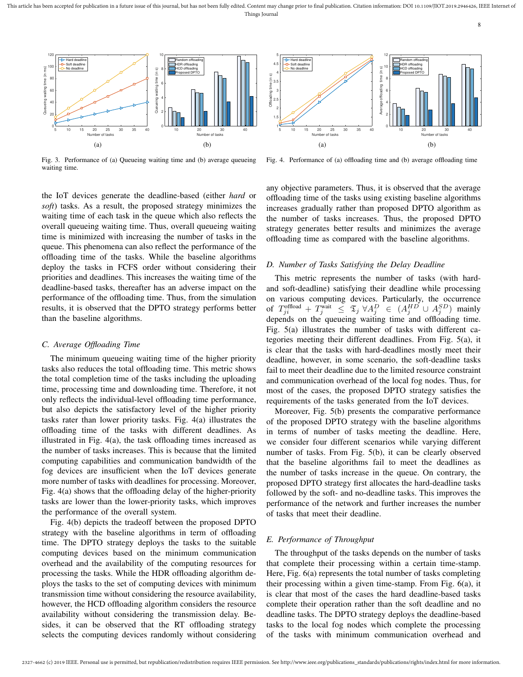This article has been accepted for publication in a future issue of this journal, but has not been fully edited. Content may change prior to final publication. Citation information: DOI 10.1109/JIOT.2019.2946426, IEEE Inte Things Journal



Fig. 3. Performance of (a) Queueing waiting time and (b) average queueing waiting time.



Fig. 4. Performance of (a) offloading time and (b) average offloading time

the IoT devices generate the deadline-based (either *hard* or *soft*) tasks. As a result, the proposed strategy minimizes the waiting time of each task in the queue which also reflects the overall queueing waiting time. Thus, overall queueing waiting time is minimized with increasing the number of tasks in the queue. This phenomena can also reflect the performance of the offloading time of the tasks. While the baseline algorithms deploy the tasks in FCFS order without considering their priorities and deadlines. This increases the waiting time of the deadline-based tasks, thereafter has an adverse impact on the performance of the offloading time. Thus, from the simulation results, it is observed that the DPTO strategy performs better than the baseline algorithms.

#### *C. Average Offloading Time*

The minimum queueing waiting time of the higher priority tasks also reduces the total offloading time. This metric shows the total completion time of the tasks including the uploading time, processing time and downloading time. Therefore, it not only reflects the individual-level offloading time performance, but also depicts the satisfactory level of the higher priority tasks rater than lower priority tasks. Fig. 4(a) illustrates the offloading time of the tasks with different deadlines. As illustrated in Fig. 4(a), the task offloading times increased as the number of tasks increases. This is because that the limited computing capabilities and communication bandwidth of the fog devices are insufficient when the IoT devices generate more number of tasks with deadlines for processing. Moreover, Fig. 4(a) shows that the offloading delay of the higher-priority tasks are lower than the lower-priority tasks, which improves the performance of the overall system.

Fig. 4(b) depicts the tradeoff between the proposed DPTO strategy with the baseline algorithms in term of offloading time. The DPTO strategy deploys the tasks to the suitable computing devices based on the minimum communication overhead and the availability of the computing resources for processing the tasks. While the HDR offloading algorithm deploys the tasks to the set of computing devices with minimum transmission time without considering the resource availability, however, the HCD offloading algorithm considers the resource availability without considering the transmission delay. Besides, it can be observed that the RT offloading strategy selects the computing devices randomly without considering

any objective parameters. Thus, it is observed that the average offloading time of the tasks using existing baseline algorithms increases gradually rather than proposed DPTO algorithm as the number of tasks increases. Thus, the proposed DPTO strategy generates better results and minimizes the average offloading time as compared with the baseline algorithms.

# *D. Number of Tasks Satisfying the Delay Deadline*

This metric represents the number of tasks (with hardand soft-deadline) satisfying their deadline while processing on various computing devices. Particularly, the occurrence of  $T^{\text{offload}}_{ji} + T^{\text{wait}}_j \leq \mathfrak{T}_j \; \forall A^D_j \in (A^{HD}_j \cup A^{SD}_j)$  mainly depends on the queueing waiting time and offloading time. Fig. 5(a) illustrates the number of tasks with different categories meeting their different deadlines. From Fig. 5(a), it is clear that the tasks with hard-deadlines mostly meet their deadline, however, in some scenario, the soft-deadline tasks fail to meet their deadline due to the limited resource constraint and communication overhead of the local fog nodes. Thus, for most of the cases, the proposed DPTO strategy satisfies the requirements of the tasks generated from the IoT devices.

Moreover, Fig. 5(b) presents the comparative performance of the proposed DPTO strategy with the baseline algorithms in terms of number of tasks meeting the deadline. Here, we consider four different scenarios while varying different number of tasks. From Fig. 5(b), it can be clearly observed that the baseline algorithms fail to meet the deadlines as the number of tasks increase in the queue. On contrary, the proposed DPTO strategy first allocates the hard-deadline tasks followed by the soft- and no-deadline tasks. This improves the performance of the network and further increases the number of tasks that meet their deadline.

# *E. Performance of Throughput*

The throughput of the tasks depends on the number of tasks that complete their processing within a certain time-stamp. Here, Fig. 6(a) represents the total number of tasks completing their processing within a given time-stamp. From Fig. 6(a), it is clear that most of the cases the hard deadline-based tasks complete their operation rather than the soft deadline and no deadline tasks. The DPTO strategy deploys the deadline-based tasks to the local fog nodes which complete the processing of the tasks with minimum communication overhead and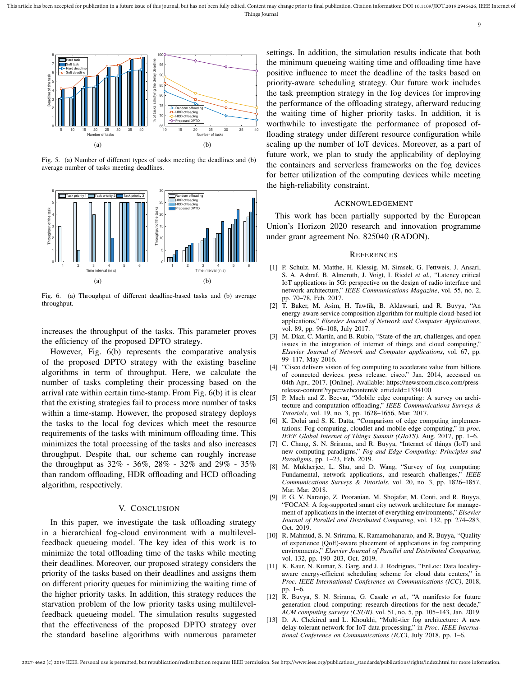

Fig. 5. (a) Number of different types of tasks meeting the deadlines and (b) average number of tasks meeting deadlines.



Fig. 6. (a) Throughput of different deadline-based tasks and (b) average throughput.

increases the throughput of the tasks. This parameter proves the efficiency of the proposed DPTO strategy.

However, Fig. 6(b) represents the comparative analysis of the proposed DPTO strategy with the existing baseline algorithms in term of throughput. Here, we calculate the number of tasks completing their processing based on the arrival rate within certain time-stamp. From Fig. 6(b) it is clear that the existing strategies fail to process more number of tasks within a time-stamp. However, the proposed strategy deploys the tasks to the local fog devices which meet the resource requirements of the tasks with minimum offloading time. This minimizes the total processing of the tasks and also increases throughput. Despite that, our scheme can roughly increase the throughput as 32% - 36%, 28% - 32% and 29% - 35% than random offloading, HDR offloading and HCD offloading algorithm, respectively.

## V. CONCLUSION

In this paper, we investigate the task offloading strategy in a hierarchical fog-cloud environment with a multilevelfeedback queueing model. The key idea of this work is to minimize the total offloading time of the tasks while meeting their deadlines. Moreover, our proposed strategy considers the priority of the tasks based on their deadlines and assigns them on different priority queues for minimizing the waiting time of the higher priority tasks. In addition, this strategy reduces the starvation problem of the low priority tasks using multilevelfeedback queueing model. The simulation results suggested that the effectiveness of the proposed DPTO strategy over the standard baseline algorithms with numerous parameter

settings. In addition, the simulation results indicate that both the minimum queueing waiting time and offloading time have positive influence to meet the deadline of the tasks based on priority-aware scheduling strategy. Our future work includes the task preemption strategy in the fog devices for improving the performance of the offloading strategy, afterward reducing the waiting time of higher priority tasks. In addition, it is worthwhile to investigate the performance of proposed offloading strategy under different resource configuration while scaling up the number of IoT devices. Moreover, as a part of future work, we plan to study the applicability of deploying the containers and serverless frameworks on the fog devices for better utilization of the computing devices while meeting the high-reliability constraint.

#### ACKNOWLEDGEMENT

This work has been partially supported by the European Union's Horizon 2020 research and innovation programme under grant agreement No. 825040 (RADON).

#### **REFERENCES**

- [1] P. Schulz, M. Matthe, H. Klessig, M. Simsek, G. Fettweis, J. Ansari, S. A. Ashraf, B. Almeroth, J. Voigt, I. Riedel *et al.*, "Latency critical IoT applications in 5G: perspective on the design of radio interface and network architecture," *IEEE Communications Magazine*, vol. 55, no. 2, pp. 70–78, Feb. 2017.
- [2] T. Baker, M. Asim, H. Tawfik, B. Aldawsari, and R. Buyya, "An energy-aware service composition algorithm for multiple cloud-based iot applications," *Elsevier Journal of Network and Computer Applications*, vol. 89, pp. 96–108, July 2017.
- [3] M. Díaz, C. Martín, and B. Rubio, "State-of-the-art, challenges, and open issues in the integration of internet of things and cloud computing," *Elsevier Journal of Network and Computer applications*, vol. 67, pp. 99–117, May 2016.
- [4] "Cisco delivers vision of fog computing to accelerate value from billions of connected devices. press release. cisco." Jan. 2014, accessed on 04th Apr., 2017. [Online]. Available: https://newsroom.cisco.com/pressrelease-content?type=webcontent& articleId=1334100
- [5] P. Mach and Z. Becvar, "Mobile edge computing: A survey on architecture and computation offloading," *IEEE Communications Surveys & Tutorials*, vol. 19, no. 3, pp. 1628–1656, Mar. 2017.
- [6] K. Dolui and S. K. Datta, "Comparison of edge computing implementations: Fog computing, cloudlet and mobile edge computing," in *proc. IEEE Global Internet of Things Summit (GIoTS)*, Aug. 2017, pp. 1–6.
- [7] C. Chang, S. N. Srirama, and R. Buyya, "Internet of things (IoT) and new computing paradigms," *Fog and Edge Computing: Principles and Paradigms*, pp. 1–23, Feb. 2019.
- [8] M. Mukherjee, L. Shu, and D. Wang, "Survey of fog computing: Fundamental, network applications, and research challenges," *IEEE Communications Surveys & Tutorials*, vol. 20, no. 3, pp. 1826–1857, Mar. Mar. 2018.
- [9] P. G. V. Naranjo, Z. Pooranian, M. Shojafar, M. Conti, and R. Buyya, "FOCAN: A fog-supported smart city network architecture for management of applications in the internet of everything environments," *Elsevier Journal of Parallel and Distributed Computing*, vol. 132, pp. 274–283, Oct. 2019.
- [10] R. Mahmud, S. N. Srirama, K. Ramamohanarao, and R. Buyya, "Quality of experience (QoE)-aware placement of applications in fog computing environments," *Elsevier Journal of Parallel and Distributed Computing*, vol. 132, pp. 190–203, Oct. 2019.
- [11] K. Kaur, N. Kumar, S. Garg, and J. J. Rodrigues, "EnLoc: Data localityaware energy-efficient scheduling scheme for cloud data centers," in *Proc. IEEE International Conference on Communications (ICC)*, 2018, pp. 1–6.
- [12] R. Buyya, S. N. Srirama, G. Casale *et al.*, "A manifesto for future generation cloud computing: research directions for the next decade," *ACM computing surveys (CSUR)*, vol. 51, no. 5, pp. 105–143, Jan. 2019.
- [13] D. A. Chekired and L. Khoukhi, "Multi-tier fog architecture: A new delay-tolerant network for IoT data processing," in *Proc. IEEE International Conference on Communications (ICC)*, July 2018, pp. 1–6.